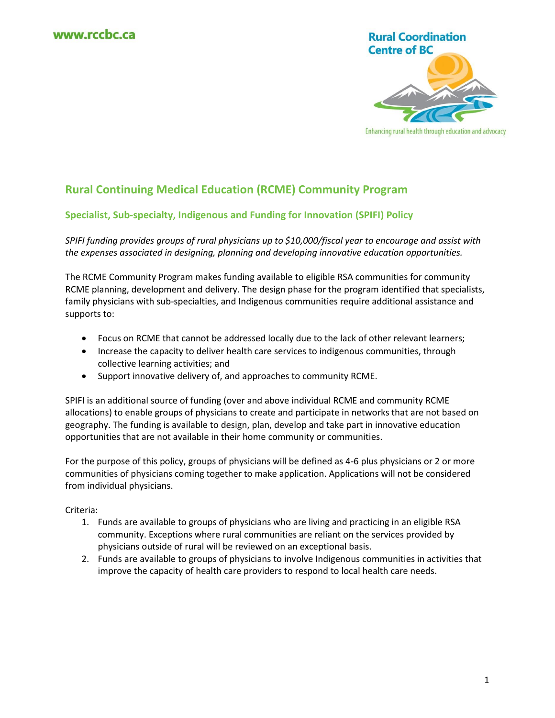

#### Enhancing rural health through education and advocacy

# **Rural Continuing Medical Education (RCME) Community Program**

# **Specialist, Sub-specialty, Indigenous and Funding for Innovation (SPIFI) Policy**

*SPIFI funding provides groups of rural physicians up to \$10,000/fiscal year to encourage and assist with the expenses associated in designing, planning and developing innovative education opportunities.* 

The RCME Community Program makes funding available to eligible RSA communities for community RCME planning, development and delivery. The design phase for the program identified that specialists, family physicians with sub-specialties, and Indigenous communities require additional assistance and supports to:

- Focus on RCME that cannot be addressed locally due to the lack of other relevant learners;
- Increase the capacity to deliver health care services to indigenous communities, through collective learning activities; and
- Support innovative delivery of, and approaches to community RCME.

SPIFI is an additional source of funding (over and above individual RCME and community RCME allocations) to enable groups of physicians to create and participate in networks that are not based on geography. The funding is available to design, plan, develop and take part in innovative education opportunities that are not available in their home community or communities.

For the purpose of this policy, groups of physicians will be defined as 4-6 plus physicians or 2 or more communities of physicians coming together to make application. Applications will not be considered from individual physicians.

### Criteria:

- 1. Funds are available to groups of physicians who are living and practicing in an eligible RSA community. Exceptions where rural communities are reliant on the services provided by physicians outside of rural will be reviewed on an exceptional basis.
- 2. Funds are available to groups of physicians to involve Indigenous communities in activities that improve the capacity of health care providers to respond to local health care needs.